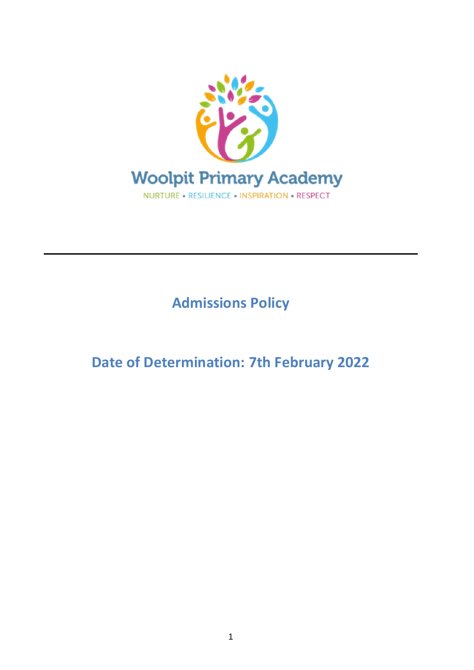

**Admissions Policy**

**Date of Determination: 7th February 2022**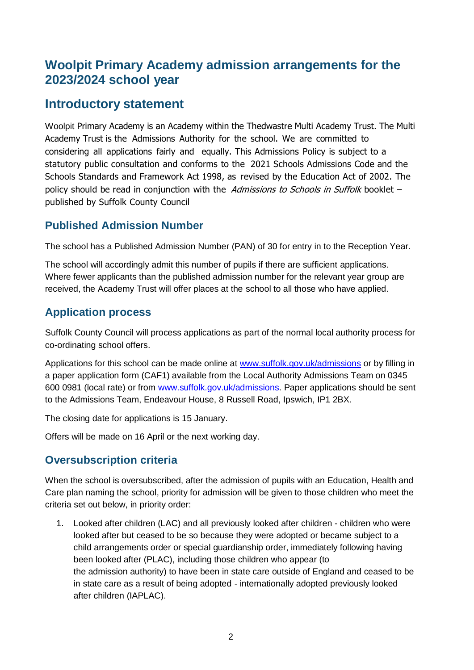# **Woolpit Primary Academy admission arrangements for the 2023/2024 school year**

# **Introductory statement**

Woolpit Primary Academy is an Academy within the Thedwastre Multi Academy Trust. The Multi Academy Trust is the Admissions Authority for the school. We are committed to considering all applications fairly and equally. This Admissions Policy is subject to a statutory public consultation and conforms to the 2021 Schools Admissions Code and the Schools Standards and Framework Act 1998, as revised by the Education Act of 2002. The policy should be read in conjunction with the Admissions to Schools in Suffolk booklet  $$ published by Suffolk County Council

### **Published Admission Number**

The school has a Published Admission Number (PAN) of 30 for entry in to the Reception Year.

The school will accordingly admit this number of pupils if there are sufficient applications. Where fewer applicants than the published admission number for the relevant year group are received, the Academy Trust will offer places at the school to all those who have applied.

# **Application process**

Suffolk County Council will process applications as part of the normal local authority process for co-ordinating school offers.

Applications for this school can be made online at [www.suffolk.gov.uk/admissions](http://www.suffolk.gov.uk/admissions) or by filling in a paper application form (CAF1) available from the Local Authority Admissions Team on 0345 600 0981 (local rate) or from [www.suffolk.gov.uk/admissions.](http://www.suffolk.gov.uk/admissions) Paper applications should be sent to the Admissions Team, Endeavour House, 8 Russell Road, Ipswich, IP1 2BX.

The closing date for applications is 15 January.

Offers will be made on 16 April or the next working day.

# **Oversubscription criteria**

When the school is oversubscribed, after the admission of pupils with an Education, Health and Care plan naming the school, priority for admission will be given to those children who meet the criteria set out below, in priority order:

1. Looked after children (LAC) and all previously looked after children - children who were looked after but ceased to be so because they were adopted or became subject to a child arrangements order or special guardianship order, immediately following having been looked after (PLAC), including those children who appear (to the admission authority) to have been in state care outside of England and ceased to be in state care as a result of being adopted - internationally adopted previously looked after children (IAPLAC).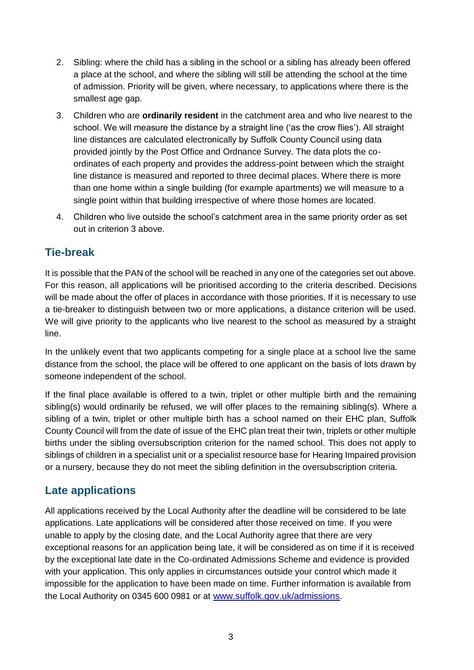- 2. Sibling: where the child has a sibling in the school or a sibling has already been offered a place at the school, and where the sibling will still be attending the school at the time of admission. Priority will be given, where necessary, to applications where there is the smallest age gap.
- 3. Children who are **ordinarily resident** in the catchment area and who live nearest to the school. We will measure the distance by a straight line ('as the crow flies'). All straight line distances are calculated electronically by Suffolk County Council using data provided jointly by the Post Office and Ordnance Survey. The data plots the coordinates of each property and provides the address-point between which the straight line distance is measured and reported to three decimal places. Where there is more than one home within a single building (for example apartments) we will measure to a single point within that building irrespective of where those homes are located.
- 4. Children who live outside the school's catchment area in the same priority order as set out in criterion 3 above.

### **Tie-break**

It is possible that the PAN of the school will be reached in any one of the categories set out above. For this reason, all applications will be prioritised according to the criteria described. Decisions will be made about the offer of places in accordance with those priorities. If it is necessary to use a tie-breaker to distinguish between two or more applications, a distance criterion will be used. We will give priority to the applicants who live nearest to the school as measured by a straight line.

In the unlikely event that two applicants competing for a single place at a school live the same distance from the school, the place will be offered to one applicant on the basis of lots drawn by someone independent of the school.

If the final place available is offered to a twin, triplet or other multiple birth and the remaining sibling(s) would ordinarily be refused, we will offer places to the remaining sibling(s). Where a sibling of a twin, triplet or other multiple birth has a school named on their EHC plan, Suffolk County Council will from the date of issue of the EHC plan treat their twin, triplets or other multiple births under the sibling oversubscription criterion for the named school. This does not apply to siblings of children in a specialist unit or a specialist resource base for Hearing Impaired provision or a nursery, because they do not meet the sibling definition in the oversubscription criteria.

### **Late applications**

All applications received by the Local Authority after the deadline will be considered to be late applications. Late applications will be considered after those received on time. If you were unable to apply by the closing date, and the Local Authority agree that there are very exceptional reasons for an application being late, it will be considered as on time if it is received by the exceptional late date in the Co-ordinated Admissions Scheme and evidence is provided with your application. This only applies in circumstances outside your control which made it impossible for the application to have been made on time. Further information is available from the Local Authority on 0345 600 0981 or at [www.suffolk.gov.uk/admissions.](http://www.suffolk.gov.uk/admissions)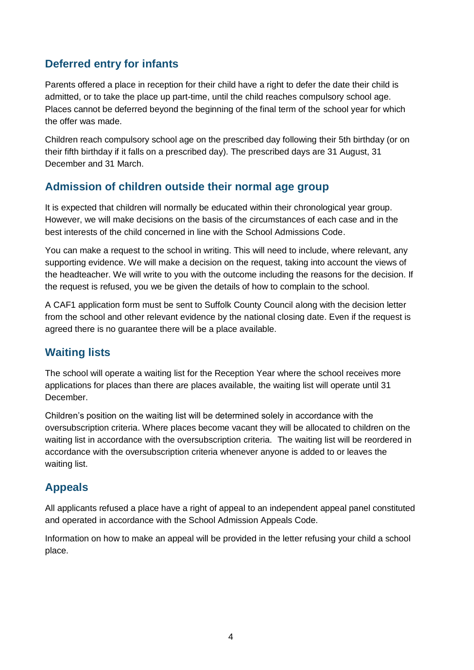# **Deferred entry for infants**

Parents offered a place in reception for their child have a right to defer the date their child is admitted, or to take the place up part-time, until the child reaches compulsory school age. Places cannot be deferred beyond the beginning of the final term of the school year for which the offer was made.

Children reach compulsory school age on the prescribed day following their 5th birthday (or on their fifth birthday if it falls on a prescribed day). The prescribed days are 31 August, 31 December and 31 March.

### **Admission of children outside their normal age group**

It is expected that children will normally be educated within their chronological year group. However, we will make decisions on the basis of the circumstances of each case and in the best interests of the child concerned in line with the School Admissions Code.

You can make a request to the school in writing. This will need to include, where relevant, any supporting evidence. We will make a decision on the request, taking into account the views of the headteacher. We will write to you with the outcome including the reasons for the decision. If the request is refused, you we be given the details of how to complain to the school.

A CAF1 application form must be sent to Suffolk County Council along with the decision letter from the school and other relevant evidence by the national closing date. Even if the request is agreed there is no guarantee there will be a place available.

# **Waiting lists**

The school will operate a waiting list for the Reception Year where the school receives more applications for places than there are places available, the waiting list will operate until 31 December.

Children's position on the waiting list will be determined solely in accordance with the oversubscription criteria. Where places become vacant they will be allocated to children on the waiting list in accordance with the oversubscription criteria. The waiting list will be reordered in accordance with the oversubscription criteria whenever anyone is added to or leaves the waiting list.

# **Appeals**

All applicants refused a place have a right of appeal to an independent appeal panel constituted and operated in accordance with the School Admission Appeals Code.

Information on how to make an appeal will be provided in the letter refusing your child a school place.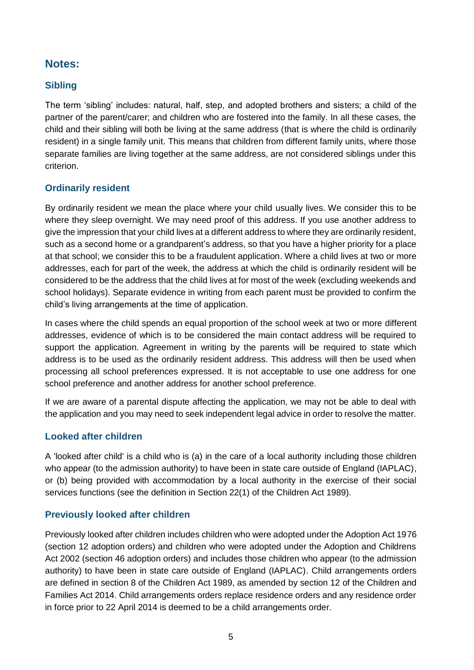### **Notes:**

#### **Sibling**

The term 'sibling' includes: natural, half, step, and adopted brothers and sisters; a child of the partner of the parent/carer; and children who are fostered into the family. In all these cases, the child and their sibling will both be living at the same address (that is where the child is ordinarily resident) in a single family unit. This means that children from different family units, where those separate families are living together at the same address, are not considered siblings under this criterion.

#### **Ordinarily resident**

By ordinarily resident we mean the place where your child usually lives. We consider this to be where they sleep overnight. We may need proof of this address. If you use another address to give the impression that your child lives at a different address to where they are ordinarily resident, such as a second home or a grandparent's address, so that you have a higher priority for a place at that school; we consider this to be a fraudulent application. Where a child lives at two or more addresses, each for part of the week, the address at which the child is ordinarily resident will be considered to be the address that the child lives at for most of the week (excluding weekends and school holidays). Separate evidence in writing from each parent must be provided to confirm the child's living arrangements at the time of application.

In cases where the child spends an equal proportion of the school week at two or more different addresses, evidence of which is to be considered the main contact address will be required to support the application. Agreement in writing by the parents will be required to state which address is to be used as the ordinarily resident address. This address will then be used when processing all school preferences expressed. It is not acceptable to use one address for one school preference and another address for another school preference.

If we are aware of a parental dispute affecting the application, we may not be able to deal with the application and you may need to seek independent legal advice in order to resolve the matter.

#### **Looked after children**

A 'looked after child' is a child who is (a) in the care of a local authority including those children who appear (to the admission authority) to have been in state care outside of England (IAPLAC), or (b) being provided with accommodation by a local authority in the exercise of their social services functions (see the definition in Section 22(1) of the Children Act 1989).

#### **Previously looked after children**

Previously looked after children includes children who were adopted under the Adoption Act 1976 (section 12 adoption orders) and children who were adopted under the Adoption and Childrens Act 2002 (section 46 adoption orders) and includes those children who appear (to the admission authority) to have been in state care outside of England (IAPLAC). Child arrangements orders are defined in section 8 of the Children Act 1989, as amended by section 12 of the Children and Families Act 2014. Child arrangements orders replace residence orders and any residence order in force prior to 22 April 2014 is deemed to be a child arrangements order.